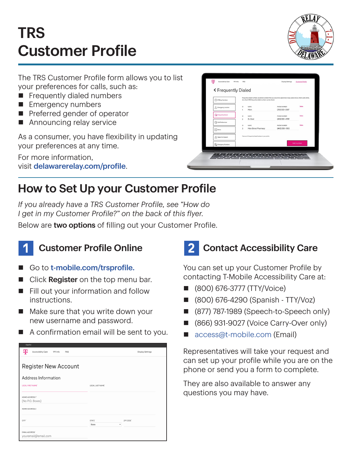# TRS Customer Profile



The TRS Customer Profile form allows you to list your preferences for calls, such as:

- $\blacksquare$  Frequently dialed numbers
- **Emergency numbers**
- $\blacksquare$  Preferred gender of operator
- $\blacksquare$  Announcing relay service

As a consumer, you have flexibility in updating your preferences at any time.

For more information, visit [delawarerelay.com/profile](http://delawarerelay.com/profile).

| (1) IP Relay Numbers                    | Frequently dialed numbers are phone numbers that you would like speed dial or easy access to (i.e. mom, work, home,<br>etc.). Up to 100 frequently dialed numbers can be stored. |                                  |               |
|-----------------------------------------|----------------------------------------------------------------------------------------------------------------------------------------------------------------------------------|----------------------------------|---------------|
| △ Emergency Location                    | NAME<br>10<br>1<br>Mom                                                                                                                                                           | PHONE NUMBER<br>$(312)$ 555-2587 | <b>Delate</b> |
| The Frequently Dialect                  | 10<br><b>NAME</b><br>$\overline{2}$<br>Dr. Gold                                                                                                                                  | PHONE NUMBER<br>(410) 555-4789   | <b>Delate</b> |
| Call Preferences                        | 1D<br>NAME                                                                                                                                                                       | PHONE NUMBER                     | <b>Oelete</b> |
| $\boxed{\frac{1}{2}}$ Notes             | 3<br>Main Street Pharmacy                                                                                                                                                        | (443) 555-0120                   |               |
| Speech to Speech                        | There are 3 Frequently Dialed Numbers in your profile.                                                                                                                           |                                  |               |
| <b>D</b> <sub>O</sub> Emergency Numbers |                                                                                                                                                                                  |                                  | Add number    |

### How to Set Up your Customer Profile

*If you already have a TRS Customer Profile, see "How do I get in my Customer Profile?" on the back of this flyer.*

Below are two options of filling out your Customer Profile.



#### **Customer Profile Online**

- Go to [t-mobile.com/trsprofile.](http://t-mobile.com/trsprofile)
- Click Register on the top menu bar.
- $\blacksquare$  Fill out your information and follow instructions.
- $\blacksquare$  Make sure that you write down your new username and password.
- $\blacksquare$  A confirmation email will be sent to you.

| copairon                                          |                    |                         |
|---------------------------------------------------|--------------------|-------------------------|
| ሞ<br>Accessibility Care<br>911 Info<br><b>FAQ</b> |                    | <b>Display Settings</b> |
|                                                   |                    |                         |
| <b>Register New Account</b>                       |                    |                         |
| Address Information                               |                    |                         |
| LEGAL FIRST NAME'                                 | LEGAL LAST NAME'   |                         |
|                                                   |                    |                         |
| HOME ADDRESS 1"                                   |                    |                         |
| (No P.O. Boxes)                                   |                    |                         |
| HOME ADDRESS 2                                    |                    |                         |
| CITY <sup>*</sup>                                 | STATE <sup>®</sup> | ZIP CODE'               |
|                                                   | ٠<br>State         |                         |
| <b>EMAIL ADDRESS®</b><br>youremail@email.com      |                    |                         |

## 2 Contact Accessibility Care

You can set up your Customer Profile by contacting T-Mobile Accessibility Care at:

- n (800) 676-3777 (TTY/Voice)
- n (800) 676-4290 (Spanish TTY/Voz)
- (877) 787-1989 (Speech-to-Speech only)
- (866) 931-9027 (Voice Carry-Over only)
- [access@t-mobile.com](mailto:access%40t-mobile.com?subject=) (Email)

Representatives will take your request and can set up your profile while you are on the phone or send you a form to complete.

They are also available to answer any questions you may have.